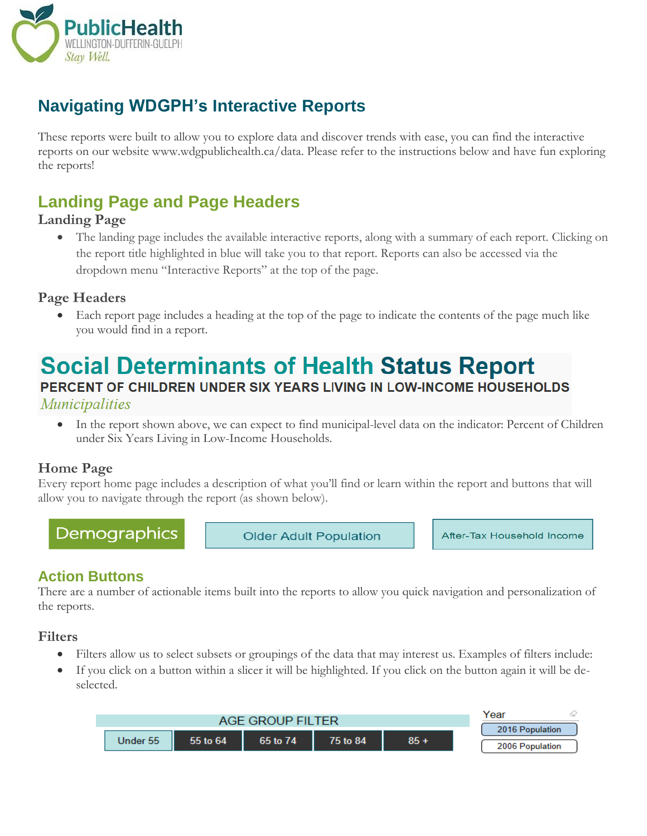

# **Navigating WDGPH's Interactive Reports**

These reports were built to allow you to explore data and discover trends with ease, you can find the interactive reports on our website www.wdgpublichealth.ca/data. Please refer to the instructions below and have fun exploring the reports!

# **Landing Page and Page Headers**

#### **Landing Page**

 The landing page includes the available interactive reports, along with a summary of each report. Clicking on the report title highlighted in blue will take you to that report. Reports can also be accessed via the dropdown menu "Interactive Reports" at the top of the page.

## **Page Headers**

 Each report page includes a heading at the top of the page to indicate the contents of the page much like you would find in a report.

# **Social Determinants of Health Status Report**

# PERCENT OF CHILDREN UNDER SIX YEARS LIVING IN LOW-INCOME HOUSEHOLDS

*Municipalities* 

 In the report shown above, we can expect to find municipal-level data on the indicator: Percent of Children under Six Years Living in Low-Income Households.

## **Home Page**

Every report home page includes a description of what you'll find or learn within the report and buttons that will allow you to navigate through the report (as shown below).

Demographics

**Older Adult Population** 

After-Tax Household Income

# **Action Buttons**

There are a number of actionable items built into the reports to allow you quick navigation and personalization of the reports.

## **Filters**

- Filters allow us to select subsets or groupings of the data that may interest us. Examples of filters include:
- If you click on a button within a slicer it will be highlighted. If you click on the button again it will be deselected.

| ΓFΩ       |          |          |          |        | Year            |
|-----------|----------|----------|----------|--------|-----------------|
| AGE GROUP |          |          |          |        | 2016 Population |
| Under 55  | 55 to 64 | 65 to 74 | 75 to 84 | $85 +$ | 2006 Population |